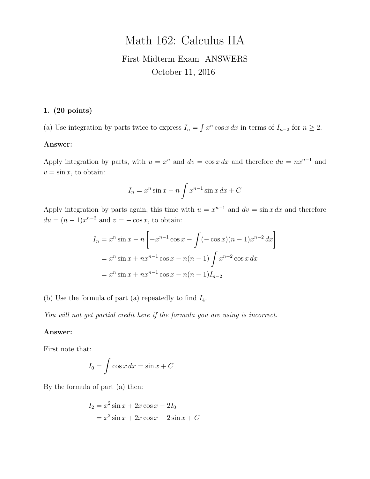# Math 162: Calculus IIA First Midterm Exam ANSWERS October 11, 2016

## 1. (20 points)

(a) Use integration by parts twice to express  $I_n = \int x^n \cos x \, dx$  in terms of  $I_{n-2}$  for  $n \geq 2$ .

#### Answer:

Apply integration by parts, with  $u = x^n$  and  $dv = \cos x dx$  and therefore  $du = nx^{n-1}$  and  $v = \sin x$ , to obtain:

$$
I_n = x^n \sin x - n \int x^{n-1} \sin x \, dx + C
$$

Apply integration by parts again, this time with  $u = x^{n-1}$  and  $dv = \sin x dx$  and therefore  $du = (n-1)x^{n-2}$  and  $v = -\cos x$ , to obtain:

$$
I_n = x^n \sin x - n \left[ -x^{n-1} \cos x - \int (-\cos x)(n-1)x^{n-2} dx \right]
$$
  
=  $x^n \sin x + nx^{n-1} \cos x - n(n-1) \int x^{n-2} \cos x dx$   
=  $x^n \sin x + nx^{n-1} \cos x - n(n-1)I_{n-2}$ 

(b) Use the formula of part (a) repeatedly to find  $I_4$ .

You will not get partial credit here if the formula you are using is incorrect.

#### Answer:

First note that:

$$
I_0 = \int \cos x \, dx = \sin x + C
$$

By the formula of part (a) then:

$$
I_2 = x^2 \sin x + 2x \cos x - 2I_0
$$
  
=  $x^2 \sin x + 2x \cos x - 2 \sin x + C$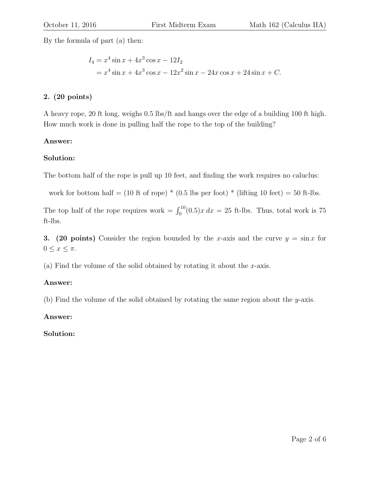By the formula of part (a) then:

$$
I_4 = x^4 \sin x + 4x^3 \cos x - 12I_2
$$
  
=  $x^4 \sin x + 4x^3 \cos x - 12x^2 \sin x - 24x \cos x + 24 \sin x + C.$ 

# 2. (20 points)

A heavy rope, 20 ft long, weighs 0.5 lbs/ft and hangs over the edge of a building 100 ft high. How much work is done in pulling half the rope to the top of the building?

## Answer:

# Solution:

The bottom half of the rope is pull up 10 feet, and finding the work requires no caluclus:

work for bottom half =  $(10 \text{ ft of rope})$  \*  $(0.5 \text{ lbs per foot})$  \*  $(\text{lifting } 10 \text{ feet}) = 50 \text{ ft-lbs.}$ 

The top half of the rope requires work =  $\int_0^{10}(0.5)x dx = 25$  ft-lbs. Thus, total work is 75 ft-lbs.

3. (20 points) Consider the region bounded by the x-axis and the curve  $y = \sin x$  for  $0 \leq x \leq \pi$ .

(a) Find the volume of the solid obtained by rotating it about the  $x$ -axis.

# Answer:

(b) Find the volume of the solid obtained by rotating the same region about the  $y$ -axis.

Answer:

Solution: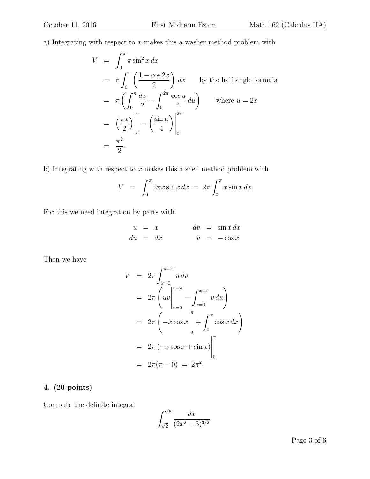a) Integrating with respect to  $x$  makes this a washer method problem with

$$
V = \int_0^{\pi} \pi \sin^2 x \, dx
$$
  
=  $\pi \int_0^{\pi} \left( \frac{1 - \cos 2x}{2} \right) dx$  by the half angle formula  
=  $\pi \left( \int_0^{\pi} \frac{dx}{2} - \int_0^{2\pi} \frac{\cos u}{4} \, du \right)$  where  $u = 2x$   
=  $\left( \frac{\pi x}{2} \right) \Big|_0^{\pi} - \left( \frac{\sin u}{4} \right) \Big|_0^{2\pi}$   
=  $\frac{\pi^2}{2}$ .

b) Integrating with respect to  $x$  makes this a shell method problem with

$$
V = \int_0^{\pi} 2\pi x \sin x \, dx = 2\pi \int_0^{\pi} x \sin x \, dx
$$

For this we need integration by parts with

$$
\begin{array}{rcl}\nu &=& x \\
du &=& dx\n\end{array}\n\qquad\n\begin{array}{rcl}\ndv &=& \sin x \, dx \\
v &=& -\cos x\n\end{array}
$$

Then we have

$$
V = 2\pi \int_{x=0}^{x=\pi} u \, dv
$$
  
=  $2\pi \left( uv \Big|_{x=0}^{x=\pi} - \int_{x=0}^{x=\pi} v \, du \right)$   
=  $2\pi \left( -x \cos x \Big|_0^{\pi} + \int_0^{\pi} \cos x \, dx \right)$   
=  $2\pi \left( -x \cos x + \sin x \right) \Big|_0^{\pi}$   
=  $2\pi (\pi - 0) = 2\pi^2$ .

# 4. (20 points)

Compute the definite integral

$$
\int_{\sqrt{2}}^{\sqrt{6}} \frac{dx}{(2x^2 - 3)^{3/2}}.
$$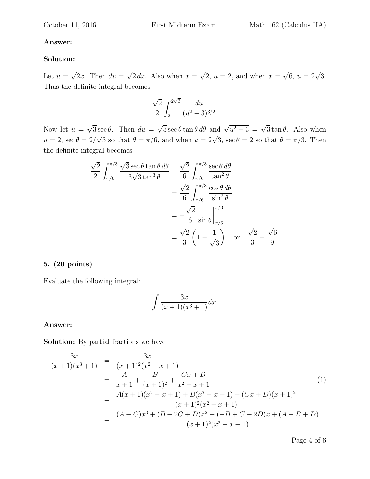#### Answer:

#### Solution:

Let  $u =$ √ 2x. Then  $du =$ √  $2 dx$ . Also when  $x =$ √ 2,  $u = 2$ , and when  $x =$  $\sqrt{6}$ ,  $u = 2\sqrt{3}$ . Thus the definite integral becomes

$$
\frac{\sqrt{2}}{2} \int_2^{2\sqrt{3}} \frac{du}{(u^2-3)^{3/2}}.
$$

Now let  $u =$ √  $3 \sec \theta$ . Then  $du =$  $\sqrt{3} \sec \theta \tan \theta \, d\theta$  and  $\sqrt{u^2 - 3} = \sqrt{3} \tan \theta$ . Also when  $u=2, \sec \theta = 2/$  $\sqrt{3}$  so that  $\theta = \pi/6$ , and when  $u = 2\sqrt{3}$ , sec  $\theta = 2$  so that  $\theta = \pi/3$ . Then the definite integral becomes

$$
\frac{\sqrt{2}}{2} \int_{\pi/6}^{\pi/3} \frac{\sqrt{3} \sec \theta \tan \theta \, d\theta}{3\sqrt{3} \tan^3 \theta} = \frac{\sqrt{2}}{6} \int_{\pi/6}^{\pi/3} \frac{\sec \theta \, d\theta}{\tan^2 \theta} \n= \frac{\sqrt{2}}{6} \int_{\pi/6}^{\pi/3} \frac{\cos \theta \, d\theta}{\sin^2 \theta} \n= -\frac{\sqrt{2}}{6} \frac{1}{\sin \theta} \Big|_{\pi/6}^{\pi/3} \n= \frac{\sqrt{2}}{3} \left(1 - \frac{1}{\sqrt{3}}\right) \quad \text{or} \quad \frac{\sqrt{2}}{3} - \frac{\sqrt{6}}{9}.
$$

#### 5. (20 points)

Evaluate the following integral:

$$
\int \frac{3x}{(x+1)(x^3+1)} dx.
$$

#### Answer:

Solution: By partial fractions we have

$$
\frac{3x}{(x+1)(x^3+1)} = \frac{3x}{(x+1)^2(x^2-x+1)}
$$
\n
$$
= \frac{A}{x+1} + \frac{B}{(x+1)^2} + \frac{Cx+D}{x^2-x+1}
$$
\n
$$
= \frac{A(x+1)(x^2-x+1) + B(x^2-x+1) + (Cx+D)(x+1)^2}{(x+1)^2(x^2-x+1)}
$$
\n
$$
= \frac{(A+C)x^3 + (B+2C+D)x^2 + (-B+C+2D)x + (A+B+D)}{(x+1)^2(x^2-x+1)}
$$
\n(1)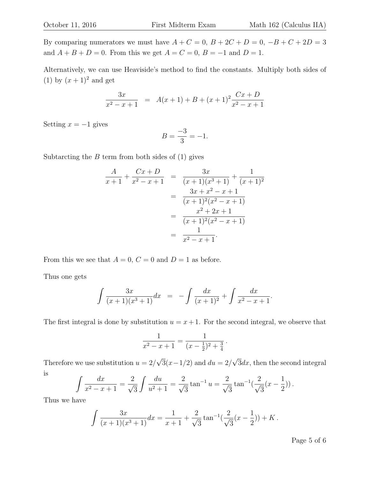By comparing numerators we must have  $A + C = 0$ ,  $B + 2C + D = 0$ ,  $-B + C + 2D = 3$ and  $A + B + D = 0$ . From this we get  $A = C = 0$ ,  $B = -1$  and  $D = 1$ .

Alternatively, we can use Heaviside's method to find the constants. Multiply both sides of (1) by  $(x+1)^2$  and get

$$
\frac{3x}{x^2 - x + 1} = A(x + 1) + B + (x + 1)^2 \frac{Cx + D}{x^2 - x + 1}
$$

Setting  $x = -1$  gives

$$
B = \frac{-3}{3} = -1.
$$

Subtarcting the  $B$  term from both sides of  $(1)$  gives

$$
\frac{A}{x+1} + \frac{Cx+D}{x^2 - x + 1} = \frac{3x}{(x+1)(x^3+1)} + \frac{1}{(x+1)^2}
$$

$$
= \frac{3x + x^2 - x + 1}{(x+1)^2(x^2 - x + 1)}
$$

$$
= \frac{x^2 + 2x + 1}{(x+1)^2(x^2 - x + 1)}
$$

$$
= \frac{1}{x^2 - x + 1}.
$$

From this we see that  $A = 0$ ,  $C = 0$  and  $D = 1$  as before.

Thus one gets

$$
\int \frac{3x}{(x+1)(x^3+1)} dx = -\int \frac{dx}{(x+1)^2} + \int \frac{dx}{x^2 - x + 1}.
$$

The first integral is done by substitution  $u = x + 1$ . For the second integral, we observe that

$$
\frac{1}{x^2 - x + 1} = \frac{1}{(x - \frac{1}{2})^2 + \frac{3}{4}}.
$$

Therefore we use substitution  $u = 2/$ √  $3(x-1/2)$  and  $du = 2/$ √  $3dx$ , then the second integral is

$$
\int \frac{dx}{x^2 - x + 1} = \frac{2}{\sqrt{3}} \int \frac{du}{u^2 + 1} = \frac{2}{\sqrt{3}} \tan^{-1} u = \frac{2}{\sqrt{3}} \tan^{-1} \left( \frac{2}{\sqrt{3}} (x - \frac{1}{2}) \right).
$$

Thus we have

$$
\int \frac{3x}{(x+1)(x^3+1)} dx = \frac{1}{x+1} + \frac{2}{\sqrt{3}} \tan^{-1}(\frac{2}{\sqrt{3}}(x-\frac{1}{2})) + K.
$$

Page 5 of 6